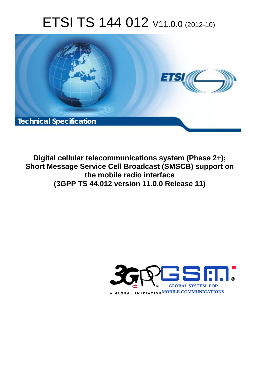# ETSI TS 144 012 V11.0.0 (2012-10)



**Digital cellular telecommunications system (Phase 2+); Short Message Service Cell Broadcast (SMSCB) support on the mobile radio interface (3GPP TS 44.012 version 11.0.0 Release 11)** 

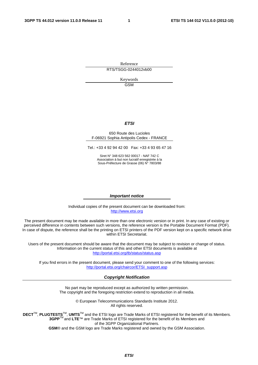Reference RTS/TSGG-0244012vb00

> Keywords GSM

#### *ETSI*

#### 650 Route des Lucioles F-06921 Sophia Antipolis Cedex - FRANCE

Tel.: +33 4 92 94 42 00 Fax: +33 4 93 65 47 16

Siret N° 348 623 562 00017 - NAF 742 C Association à but non lucratif enregistrée à la Sous-Préfecture de Grasse (06) N° 7803/88

#### *Important notice*

Individual copies of the present document can be downloaded from: [http://www.etsi.org](http://www.etsi.org/)

The present document may be made available in more than one electronic version or in print. In any case of existing or perceived difference in contents between such versions, the reference version is the Portable Document Format (PDF). In case of dispute, the reference shall be the printing on ETSI printers of the PDF version kept on a specific network drive within ETSI Secretariat.

Users of the present document should be aware that the document may be subject to revision or change of status. Information on the current status of this and other ETSI documents is available at <http://portal.etsi.org/tb/status/status.asp>

If you find errors in the present document, please send your comment to one of the following services: [http://portal.etsi.org/chaircor/ETSI\\_support.asp](http://portal.etsi.org/chaircor/ETSI_support.asp)

#### *Copyright Notification*

No part may be reproduced except as authorized by written permission. The copyright and the foregoing restriction extend to reproduction in all media.

> © European Telecommunications Standards Institute 2012. All rights reserved.

**DECT**TM, **PLUGTESTS**TM, **UMTS**TM and the ETSI logo are Trade Marks of ETSI registered for the benefit of its Members. **3GPP**TM and **LTE**™ are Trade Marks of ETSI registered for the benefit of its Members and of the 3GPP Organizational Partners.

**GSM**® and the GSM logo are Trade Marks registered and owned by the GSM Association.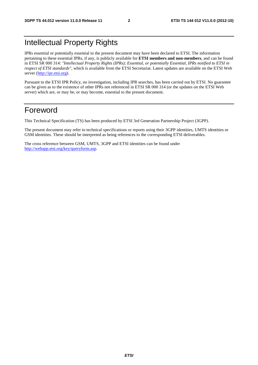# Intellectual Property Rights

IPRs essential or potentially essential to the present document may have been declared to ETSI. The information pertaining to these essential IPRs, if any, is publicly available for **ETSI members and non-members**, and can be found in ETSI SR 000 314: *"Intellectual Property Rights (IPRs); Essential, or potentially Essential, IPRs notified to ETSI in respect of ETSI standards"*, which is available from the ETSI Secretariat. Latest updates are available on the ETSI Web server [\(http://ipr.etsi.org](http://webapp.etsi.org/IPR/home.asp)).

Pursuant to the ETSI IPR Policy, no investigation, including IPR searches, has been carried out by ETSI. No guarantee can be given as to the existence of other IPRs not referenced in ETSI SR 000 314 (or the updates on the ETSI Web server) which are, or may be, or may become, essential to the present document.

### Foreword

This Technical Specification (TS) has been produced by ETSI 3rd Generation Partnership Project (3GPP).

The present document may refer to technical specifications or reports using their 3GPP identities, UMTS identities or GSM identities. These should be interpreted as being references to the corresponding ETSI deliverables.

The cross reference between GSM, UMTS, 3GPP and ETSI identities can be found under [http://webapp.etsi.org/key/queryform.asp.](http://webapp.etsi.org/key/queryform.asp)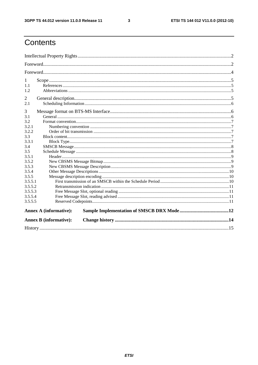$\mathbf{3}$ 

# Contents

| 1              |                               |  |  |  |  |  |
|----------------|-------------------------------|--|--|--|--|--|
| 1.1            |                               |  |  |  |  |  |
| 1.2            |                               |  |  |  |  |  |
| $\overline{2}$ |                               |  |  |  |  |  |
| 2.1            |                               |  |  |  |  |  |
| 3              |                               |  |  |  |  |  |
| 3.1            |                               |  |  |  |  |  |
| 3.2            |                               |  |  |  |  |  |
| 3.2.1          |                               |  |  |  |  |  |
| 3.2.2          |                               |  |  |  |  |  |
| 3.3            |                               |  |  |  |  |  |
| 3.3.1          |                               |  |  |  |  |  |
| 3.4            |                               |  |  |  |  |  |
| 3.5            |                               |  |  |  |  |  |
| 3.5.1          |                               |  |  |  |  |  |
| 3.5.2          |                               |  |  |  |  |  |
| 3.5.3          |                               |  |  |  |  |  |
| 3.5.4          |                               |  |  |  |  |  |
| 3.5.5          |                               |  |  |  |  |  |
| 3.5.5.1        |                               |  |  |  |  |  |
| 3.5.5.2        |                               |  |  |  |  |  |
| 3.5.5.3        |                               |  |  |  |  |  |
| 3.5.5.4        |                               |  |  |  |  |  |
| 3.5.5.5        |                               |  |  |  |  |  |
|                | <b>Annex A (informative):</b> |  |  |  |  |  |
|                | <b>Annex B</b> (informative): |  |  |  |  |  |
|                |                               |  |  |  |  |  |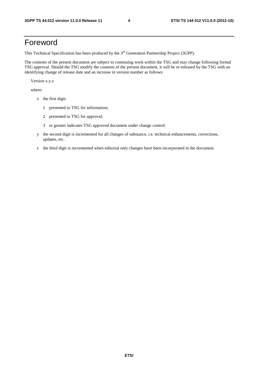# Foreword

This Technical Specification has been produced by the 3<sup>rd</sup> Generation Partnership Project (3GPP).

The contents of the present document are subject to continuing work within the TSG and may change following formal TSG approval. Should the TSG modify the contents of the present document, it will be re-released by the TSG with an identifying change of release date and an increase in version number as follows:

Version x.y.z

where:

- x the first digit:
	- 1 presented to TSG for information;
	- 2 presented to TSG for approval;
	- 3 or greater indicates TSG approved document under change control.
- y the second digit is incremented for all changes of substance, i.e. technical enhancements, corrections, updates, etc.
- z the third digit is incremented when editorial only changes have been incorporated in the document.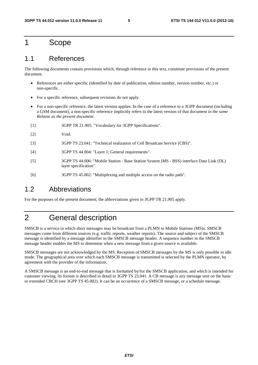### 1 Scope

### 1.1 References

The following documents contain provisions which, through reference in this text, constitute provisions of the present document.

- References are either specific (identified by date of publication, edition number, version number, etc.) or non-specific.
- For a specific reference, subsequent revisions do not apply.
- For a non-specific reference, the latest version applies. In the case of a reference to a 3GPP document (including a GSM document), a non-specific reference implicitly refers to the latest version of that document *in the same Release as the present document*.
- [1] 3GPP TR 21.905: "Vocabulary for 3GPP Specifications".
- [2] Void.
- [3] 3GPP TS 23.041: "Technical realization of Cell Broadcast Service (CBS)".
- [4] 3GPP TS 44.004: "Layer 1; General requirements".
- [5] 3GPP TS 44.006: "Mobile Station Base Station System (MS BSS) interface Data Link (DL) layer specification".
- [6] 3GPP TS 45.002: "Multiplexing and multiple access on the radio path".

### 1.2 Abbreviations

For the purposes of the present document, the abbreviations given in 3GPP TR 21.905 apply.

## 2 General description

SMSCB is a service in which short messages may be broadcast from a PLMN to Mobile Stations (MS)s. SMSCB messages come from different sources (e.g. traffic reports, weather reports). The source and subject of the SMSCB message is identified by a message identifier in the SMSCB message header. A sequence number in the SMSCB message header enables the MS to determine when a new message from a given source is available.

SMSCB messages are not acknowledged by the MS. Reception of SMSCB messages by the MS is only possible in idle mode. The geographical area over which each SMSCB message is transmitted is selected by the PLMN operator, by agreement with the provider of the information.

A SMSCB message is an end-to-end message that is formatted by/for the SMSCB application, and which is intended for customer viewing. Its format is described in detail in 3GPP TS 23.041. A CB message is any message sent on the basic or extended CBCH (see 3GPP TS 45.002). It can be an occurrence of a SMSCB message, or a schedule message.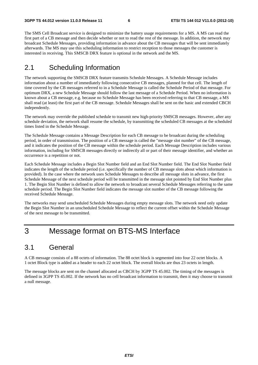The SMS Cell Broadcast service is designed to minimize the battery usage requirements for a MS. A MS can read the first part of a CB message and then decide whether or not to read the rest of the message. In addition, the network may broadcast Schedule Messages, providing information in advance about the CB messages that will be sent immediately afterwards. The MS may use this scheduling information to restrict reception to those messages the customer is interested in receiving. This SMSCB DRX feature is optional in the network and the MS.

### 2.1 Scheduling Information

The network supporting the SMSCB DRX feature transmits Schedule Messages. A Schedule Message includes information about a number of immediately following consecutive CB messages, planned for that cell. The length of time covered by the CB messages referred to in a Schedule Message is called the Schedule Period of that message. For optimum DRX, a new Schedule Message should follow the last message of a Schedule Period. When no information is known about a CB message, e.g. because no Schedule Message has been received referring to that CB message, a MS shall read (at least) the first part of the CB message. Schedule Messages shall be sent on the basic and extended CBCH independently.

The network may override the published schedule to transmit new high-priority SMSCB messages. However, after any schedule deviation, the network shall resume the schedule, by transmitting the scheduled CB messages at the scheduled times listed in the Schedule Message.

The Schedule Message contains a Message Description for each CB message to be broadcast during the scheduling period, in order of transmission. The position of a CB message is called the "message slot number" of the CB message, and it indicates the position of the CB message within the schedule period. Each Message Description includes various information, including for SMSCB messages directly or indirectly all or part of their message identifier, and whether an occurrence is a repetition or not.

Each Schedule Message includes a Begin Slot Number field and an End Slot Number field. The End Slot Number field indicates the length of the schedule period (i.e. specifically the number of CB message slots about which information is provided). In the case where the network uses Schedule Messages to describe all message slots in advance, the first Schedule Message of the next schedule period will be transmitted in the message slot pointed by End Slot Number plus 1. The Begin Slot Number is defined to allow the network to broadcast several Schedule Messages referring to the same schedule period. The Begin Slot Number field indicates the message slot number of the CB message following the received Schedule Message.

The networks may send unscheduled Schedule Messages during empty message slots. The network need only update the Begin Slot Number in an unscheduled Schedule Message to reflect the current offset within the Schedule Message of the next message to be transmitted.

# 3 Message format on BTS-MS Interface

### 3.1 General

A CB message consists of a 88 octets of information. The 88 octet block is segmented into four 22 octet blocks. A 1 octet Block type is added as a header to each 22 octet block. The overall blocks are thus 23 octets in length.

The message blocks are sent on the channel allocated as CBCH by 3GPP TS 45.002. The timing of the messages is defined in 3GPP TS 45.002. If the network has no cell broadcast information to transmit, then it may choose to transmit a null message.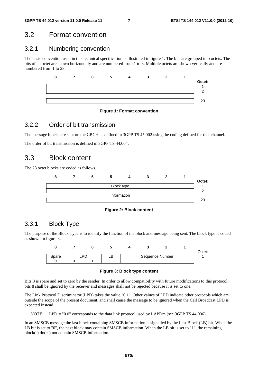### 3.2 Format convention

### 3.2.1 Numbering convention

The basic convention used in this technical specification is illustrated in figure 1. The bits are grouped into octets. The bits of an octet are shown horizontally and are numbered from 1 to 8. Multiple octets are shown vertically and are numbered from 1 to 23.



#### **Figure 1: Format convention**

### 3.2.2 Order of bit transmission

The message blocks are sent on the CBCH as defined in 3GPP TS 45.002 using the coding defined for that channel.

The order of bit transmission is defined in 3GPP TS 44.004.

### 3.3 Block content

The 23 octet blocks are coded as follows.





### 3.3.1 Block Type

The purpose of the Block Type is to identify the function of the block and message being sent. The block type is coded as shown in figure 3.



**Figure 3: Block type content** 

Bits 8 is spare and set to zero by the sender. In order to allow compatibility with future modifications to this protocol, bits 8 shall be ignored by the receiver and messages shall not be rejected because it is set to one.

The Link Protocol Discriminator (LPD) takes the value "0 1". Other values of LPD indicate other protocols which are outside the scope of the present document, and shall cause the message to be ignored when the Cell Broadcast LPD is expected instead.

NOTE: LPD = "0 0" corresponds to the data link protocol used by LAPDm (see 3GPP TS 44.006).

In an SMSCB message the last block containing SMSCB information is signalled by the Last Block (LB) bit. When the LB bit is set to "0", the next block may contain SMSCB information. When the LB bit is set to "1", the remaining block(s) do(es) not contain SMSCB information.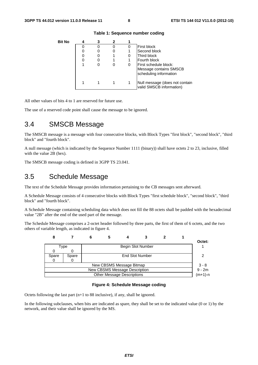| Bit No |   |   |                                                                           |
|--------|---|---|---------------------------------------------------------------------------|
|        |   | 0 | <b>First block</b>                                                        |
|        | O |   | Second block                                                              |
|        | 0 |   | Third block                                                               |
|        |   |   | Fourth block                                                              |
|        | O |   | First schedule block:<br>Message contains SMSCB<br>scheduling information |
|        |   |   | Null message (does not contain<br>valid SMSCB information)                |

#### **Table 1: Sequence number coding**

All other values of bits 4 to 1 are reserved for future use.

The use of a reserved code point shall cause the message to be ignored.

# 3.4 SMSCB Message

The SMSCB message is a message with four consecutive blocks, with Block Types "first block", "second block", "third block" and "fourth block".

A null message (which is indicated by the Sequence Number 1111 (binary)) shall have octets 2 to 23, inclusive, filled with the value 2B (hex).

The SMSCB message coding is defined in 3GPP TS 23.041.

### 3.5 Schedule Message

The text of the Schedule Message provides information pertaining to the CB messages sent afterward.

A Schedule Message consists of 4 consecutive blocks with Block Types "first schedule block", "second block", "third block" and "fourth block".

A Schedule Message containing scheduling data which does not fill the 88 octets shall be padded with the hexadecimal value "2B" after the end of the used part of the message.

The Schedule Message comprises a 2-octet header followed by three parts, the first of them of 6 octets, and the two others of variable length, as indicated in figure 4.

| О                             |       |  |  |                                   |                        |  |          |         |
|-------------------------------|-------|--|--|-----------------------------------|------------------------|--|----------|---------|
|                               |       |  |  |                                   |                        |  |          | Octet:  |
|                               | Type  |  |  |                                   | Begin Slot Number      |  |          |         |
|                               |       |  |  |                                   |                        |  |          |         |
| Spare                         | Spare |  |  |                                   | <b>End Slot Number</b> |  |          |         |
|                               |       |  |  |                                   |                        |  |          |         |
|                               |       |  |  | New CBSMS Message Bitmap          |                        |  |          | $3 - 8$ |
| New CBSMS Message Description |       |  |  |                                   |                        |  | $9 - 2m$ |         |
|                               |       |  |  | <b>Other Message Descriptions</b> |                        |  |          | (m+1)-n |

#### **Figure 4: Schedule Message coding**

Octets following the last part (n+1 to 88 inclusive), if any, shall be ignored.

In the following subclauses, when bits are indicated as spare, they shall be set to the indicated value (0 or 1) by the network, and their value shall be ignored by the MS.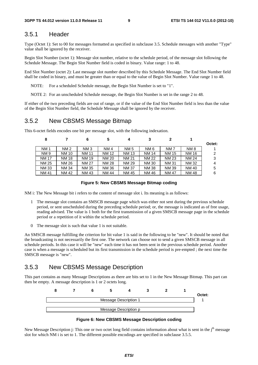### 3.5.1 Header

Type (Octet 1): Set to 00 for messages formatted as specified in subclause 3.5. Schedule messages with another "Type" value shall be ignored by the receiver.

Begin Slot Number (octet 1): Message slot number, relative to the schedule period, of the message slot following the Schedule Message. The Begin Slot Number field is coded in binary. Value range: 1 to 48.

End Slot Number (octet 2): Last message slot number described by this Schedule Message. The End Slot Number field shall be coded in binary, and must be greater than or equal to the value of Begin Slot Number. Value range 1 to 48.

NOTE: For a scheduled Schedule message, the Begin Slot Number is set to "1".

NOTE 2: For an unscheduled Schedule message, the Begin Slot Number is set in the range 2 to 48.

If either of the two preceding fields are out of range, or if the value of the End Slot Number field is less than the value of the Begin Slot Number field, the Schedule Message shall be ignored by the receiver.

### 3.5.2 New CBSMS Message Bitmap

This 6-octet fields encodes one bit per message slot, with the following indexation.

|        |                 |              |                 | 4            | 5               | 6               |              | 8            |
|--------|-----------------|--------------|-----------------|--------------|-----------------|-----------------|--------------|--------------|
| Octet: |                 |              |                 |              |                 |                 |              |              |
|        | NM <sub>8</sub> | <b>NM7</b>   | NM <sub>6</sub> | <b>NM5</b>   | NM <sub>4</sub> | NM <sub>3</sub> | <b>NM2</b>   | <b>NM1</b>   |
| 2      | <b>NM 16</b>    | <b>NM 15</b> | <b>NM 14</b>    | <b>NM 13</b> | <b>NM 12</b>    | <b>NM 11</b>    | <b>NM 10</b> | <b>NM9</b>   |
| 3      | <b>NM 24</b>    | <b>NM 23</b> | <b>NM 22</b>    | <b>NM 21</b> | <b>NM 20</b>    | <b>NM 19</b>    | <b>NM 18</b> | <b>NM 17</b> |
| 4      | <b>NM32</b>     | <b>NM31</b>  | <b>NM30</b>     | NM 29        | <b>NM 28</b>    | <b>NM 27</b>    | NM 26        | NM 25        |
| 5      | <b>NM 40</b>    | <b>NM39</b>  | <b>NM38</b>     | <b>NM37</b>  | <b>NM36</b>     | <b>NM 35</b>    | <b>NM 34</b> | <b>NM33</b>  |
| 6      | <b>NM48</b>     | <b>NM47</b>  | NM 46           | <b>NM45</b>  | <b>NM 44</b>    | NM 43           | NM 42        | <b>NM41</b>  |

#### **Figure 5: New CBSMS Message Bitmap coding**

NM i: The New Message bit i refers to the content of message slot i. Its meaning is as follows:

- 1 The message slot contains an SMSCB message page which was either not sent during the previous schedule period, or sent unscheduled during the preceding schedule period; or, the message is indicated as of free usage, reading advised. The value is 1 both for the first transmission of a given SMSCB message page in the schedule period or a repetition of it within the schedule period.
- 0 The message slot is such that value 1 is not suitable.

An SMSCB message fulfilling the criterion for bit value 1 is said in the following to be "new". It should be noted that the broadcasting is not necessarily the first one. The network can choose not to send a given SMSCB message in all schedule periods. In this case it will be "new" each time it has not been sent in the previous schedule period. Another case is when a message is scheduled but its first transmission in the schedule period is pre-empted ; the next time the SMSCB message is "new".

### 3.5.3 New CBSMS Message Description

This part contains as many Message Descriptions as there are bits set to 1 in the New Message Bitmap. This part can then be empty. A message description is 1 or 2 octets long.





New Message Description j: This one or two octet long field contains information about what is sent in the  $i<sup>th</sup>$  message slot for which NM i is set to 1. The different possible encodings are specified in subclause 3.5.5.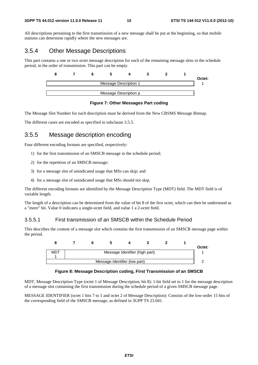All descriptions pertaining to the first transmission of a new message shall be put at the beginning, so that mobile stations can determine rapidly where the new messages are.

### 3.5.4 Other Message Descriptions

This part contains a one or two octet message description for each of the remaining message slots in the schedule period, in the order of transmission. This part can be empty.

|  |  |                       |  | Octet: |
|--|--|-----------------------|--|--------|
|  |  | Message Description 1 |  |        |
|  |  |                       |  |        |
|  |  | Message Description p |  |        |

#### **Figure 7: Other Messages Part coding**

The Message Slot Number for each description must be derived from the New CBSMS Message Bitmap.

The different cases are encoded as specified in subclause 3.5.5.

### 3.5.5 Message description encoding

Four different encoding formats are specified, respectively:

- 1) for the first transmission of an SMSCB message in the schedule period;
- 2) for the repetition of an SMSCB message;
- 3) for a message slot of unindicated usage that MSs can skip; and
- 4) for a message slot of unindicated usage that MSs should not skip.

The different encoding formats are identified by the Message Description Type (MDT) field. The MDT field is of variable length.

The length of a description can be determined from the value of bit 8 of the first octet, which can then be understood as a "more" bit. Value 0 indicates a single-octet field, and value 1 a 2-octet field.

#### 3.5.5.1 First transmission of an SMSCB within the Schedule Period

This describes the content of a message slot which contains the first transmission of an SMSCB message page within the period.



#### **Figure 8: Message Description coding, First Transmission of an SMSCB**

MDT, Message Description Type (octet 1 of Message Description, bit 8): 1-bit field set to 1 for the message description of a message slot containing the first transmission during the schedule period of a given SMSCB message page.

MESSAGE IDENTIFIER (octet 1 bits 7 to 1 and octet 2 of Message Description): Consists of the low-order 15 bits of the corresponding field of the SMSCB message, as defined in 3GPP TS 23.041.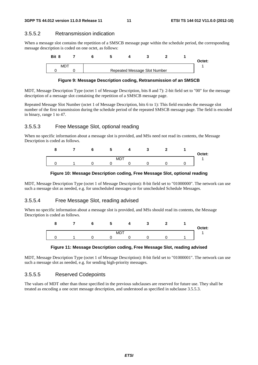### 3.5.5.2 Retransmission indication

When a message slot contains the repetition of a SMSCB message page within the schedule period, the corresponding message description is coded on one octet, as follows:

| Bit 8 |  |                              |  | Octet: |
|-------|--|------------------------------|--|--------|
| MDT   |  | Repeated Message Slot Number |  |        |

#### **Figure 9: Message Description coding, Retransmission of an SMSCB**

MDT, Message Description Type (octet 1 of Message Description, bits 8 and 7): 2-bit field set to "00" for the message description of a message slot containing the repetition of a SMSCB message page.

Repeated Message Slot Number (octet 1 of Message Description, bits 6 to 1): This field encodes the message slot number of the first transmission during the schedule period of the repeated SMSCB message page. The field is encoded in binary, range 1 to 47.

### 3.5.5.3 Free Message Slot, optional reading

When no specific information about a message slot is provided, and MSs need not read its contents, the Message Description is coded as follows.



#### **Figure 10: Message Description coding, Free Message Slot, optional reading**

MDT, Message Description Type (octet 1 of Message Description): 8-bit field set to "01000000". The network can use such a message slot as needed, e.g. for unscheduled messages or for unscheduled Schedule Messages.

### 3.5.5.4 Free Message Slot, reading advised

When no specific information about a message slot is provided, and MSs should read its contents, the Message Description is coded as follows.





MDT, Message Description Type (octet 1 of Message Description): 8-bit field set to "01000001". The network can use such a message slot as needed, e.g. for sending high-priority messages.

### 3.5.5.5 Reserved Codepoints

The values of MDT other than those specified in the previous subclauses are reserved for future use. They shall be treated as encoding a one octet message description, and understood as specified in subclause 3.5.5.3.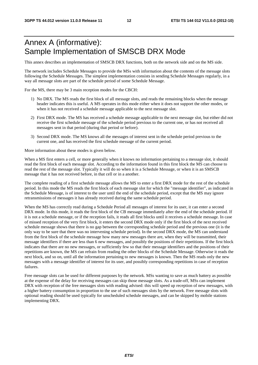# Annex A (informative): Sample Implementation of SMSCB DRX Mode

This annex describes an implementation of SMSCB DRX functions, both on the network side and on the MS side.

The network includes Schedule Messages to provide the MSs with information about the contents of the message slots following the Schedule Messages. The simplest implementation consists in sending Schedule Messages regularly, in a way all message slots are part of the schedule period of some Schedule Message.

For the MS, there may be 3 main reception modes for the CBCH:

- 1) No DRX. The MS reads the first block of all message slots, and reads the remaining blocks when the message header indicates this is useful. A MS operates in this mode either when it does not support the other modes, or when it has not received a schedule message applicable to the next message slot.
- 2) First DRX mode. The MS has received a schedule message applicable to the next message slot, but either did not receive the first schedule message of the schedule period previous to the current one, or has not received all messages sent in that period (during that period or before).
- 3) Second DRX mode. The MS knows all the messages of interest sent in the schedule period previous to the current one, and has received the first schedule message of the current period.

More information about these modes is given below.

When a MS first enters a cell, or more generally when it knows no information pertaining to a message slot, it should read the first block of each message slot. According to the information found in this first block the MS can choose to read the rest of the message slot. Typically it will do so when it is a Schedule Message, or when it is an SMSCB message that it has not received before, in that cell or in a another.

The complete reading of a first schedule message allows the MS to enter a first DRX mode for the rest of the schedule period. In this mode the MS reads the first block of each message slot for which the "message identifier", as indicated in the Schedule Message, is of interest to the user until the end of the schedule period, except that the MS may ignore retransmissions of messages it has already received during the same schedule period.

When the MS has correctly read during a Schedule Period all messages of interest for its user, it can enter a second DRX mode. In this mode, it reads the first block of the CB message immediately after the end of the schedule period. If it is not a schedule message, or if the reception fails, it reads all first blocks until it receives a schedule message. In case of missed reception of the very first block, it enters the second DRX mode only if the first block of the next received schedule message shows that there is no gap between the corresponding schedule period and the previous one (it is the only way to be sure that there was no intervening schedule period). In the second DRX mode, the MS can understand from the first block of the schedule message how many new messages there are, when they will be transmitted, their message identifiers if there are less than 6 new messages, and possibly the positions of their repetitions. If the first block indicates that there are no new messages, or sufficiently few so that their message identifiers and the positions of their repetitions are known, the MS can refrain from reading the other blocks of the Schedule Message. Otherwise it reads the next block, and so on, until all the information pertaining to new messages is known. Then the MS reads only the new messages with a message identifier of interest for its user, and possibly corresponding repetitions in case of reception failures.

Free message slots can be used for different purposes by the network. MSs wanting to save as much battery as possible at the expense of the delay for receiving messages can skip those message slots. As a trade-off, MSs can implement DRX with reception of the free messages slots with reading advised: this will speed up reception of new messages, with a higher battery consumption in proportion to the use of such messages slots by the network. Free message slots with optional reading should be used typically for unscheduled schedule messages, and can be skipped by mobile stations implementing DRX.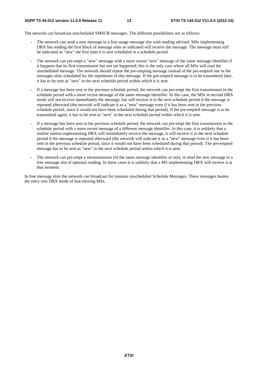The network can broadcast unscheduled SMSCB messages. The different possibilities are as follows:

- The network can send a new message in a free-usage message slot with reading advised. MSs implementing DRX but reading the first block of message slots so indicated will receive the message. The message must still be indicated as "new" the first time it is sent scheduled in a schedule period.
- The network can pre-empt a "new" message with a more recent "new" message of the same message identifier if it happens that its first transmission has not yet happened; this is the only case where all MSs will read the unscheduled message. The network should repeat the pre-empting message instead of the pre-empted one in the messages slots scheduled for the repetitions of this message. If the pre-empted message is to be transmitted later, it has to be sent as "new" in the next schedule period within which it is sent.
- If a message has been sent in the previous schedule period, the network can pre-empt the first transmission in the schedule period with a more recent message of the same message identifier. In this case, the MSs in second DRX mode will not receive immediately the message, but will receive it in the next schedule period if the message is repeated afterward (the network will indicate it as a "new" message even if it has been sent in the previous schedule period, since it would not have been scheduled during that period). If the pre-empted message is to be transmitted again, it has to be sent as "new" in the next schedule period within which it is sent.
- If a message has been sent in the previous schedule period, the network can pre-empt the first transmission in the schedule period with a more recent message of a different message identifier. In this case, it is unlikely that a mobile station implementing DRX will immediately receive the message, it will receive it in the next schedule period if the message is repeated afterward (the network will indicate it as a "new" message even if it has been sent in the previous schedule period, since it would not have been scheduled during that period). The pre-empted message has to be sent as "new" in the next schedule period within which it is sent.
- The network can pre-empt a retransmission (of the same message identifier or not), or send the new message in a free message slot of optional reading. In these cases it is unlikely that a MS implementing DRX will receive it at that moment.

In free message slots the network can broadcast for instance unscheduled Schedule Messages. These messages hasten the entry into DRX mode of fast-moving MSs.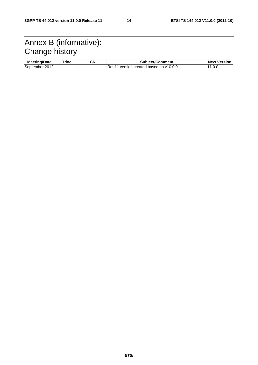# Annex B (informative): Change history

| --<br>--<br>Date<br>Meer T<br>anna <i>n</i> | doc ⊺ | СR | $\overline{\mathbf{r}}$<br>/Comment<br>.<br>.<br>511  | Versior<br>⊣ New |
|---------------------------------------------|-------|----|-------------------------------------------------------|------------------|
| September<br>2012                           |       |    | lRel-<br>version<br>created<br>based<br>V10.0.U<br>on |                  |